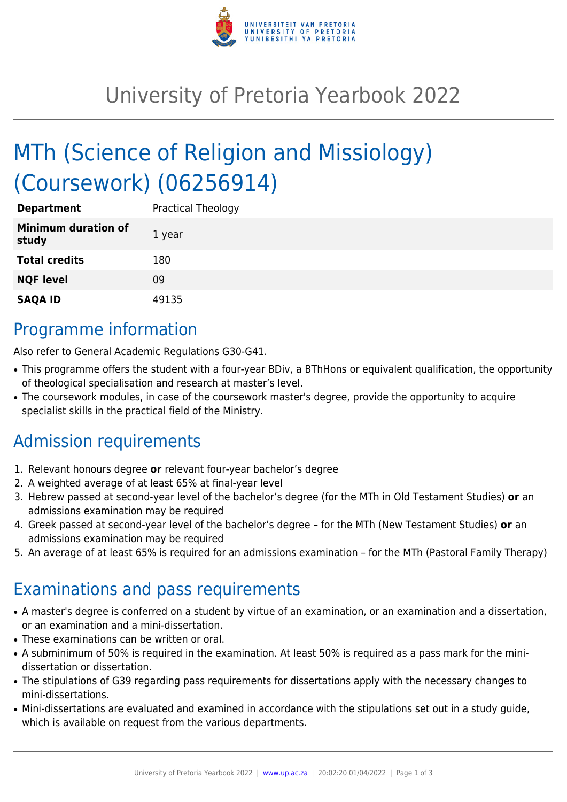

## University of Pretoria Yearbook 2022

# MTh (Science of Religion and Missiology) (Coursework) (06256914)

| <b>Department</b>                   | Practical Theology |
|-------------------------------------|--------------------|
| <b>Minimum duration of</b><br>study | 1 year             |
| <b>Total credits</b>                | 180                |
| <b>NQF level</b>                    | 09                 |
| <b>SAQA ID</b>                      | 49135              |

### Programme information

Also refer to General Academic Regulations G30-G41.

- This programme offers the student with a four-year BDiv, a BThHons or equivalent qualification, the opportunity of theological specialisation and research at master's level.
- The coursework modules, in case of the coursework master's degree, provide the opportunity to acquire specialist skills in the practical field of the Ministry.

### Admission requirements

- 1. Relevant honours degree **or** relevant four-year bachelor's degree
- 2. A weighted average of at least 65% at final-year level
- 3. Hebrew passed at second-year level of the bachelor's degree (for the MTh in Old Testament Studies) **or** an admissions examination may be required
- 4. Greek passed at second-year level of the bachelor's degree for the MTh (New Testament Studies) **or** an admissions examination may be required
- 5. An average of at least 65% is required for an admissions examination for the MTh (Pastoral Family Therapy)

### Examinations and pass requirements

- A master's degree is conferred on a student by virtue of an examination, or an examination and a dissertation, or an examination and a mini-dissertation.
- These examinations can be written or oral.
- A subminimum of 50% is required in the examination. At least 50% is required as a pass mark for the minidissertation or dissertation.
- The stipulations of G39 regarding pass requirements for dissertations apply with the necessary changes to mini-dissertations.
- Mini-dissertations are evaluated and examined in accordance with the stipulations set out in a study guide, which is available on request from the various departments.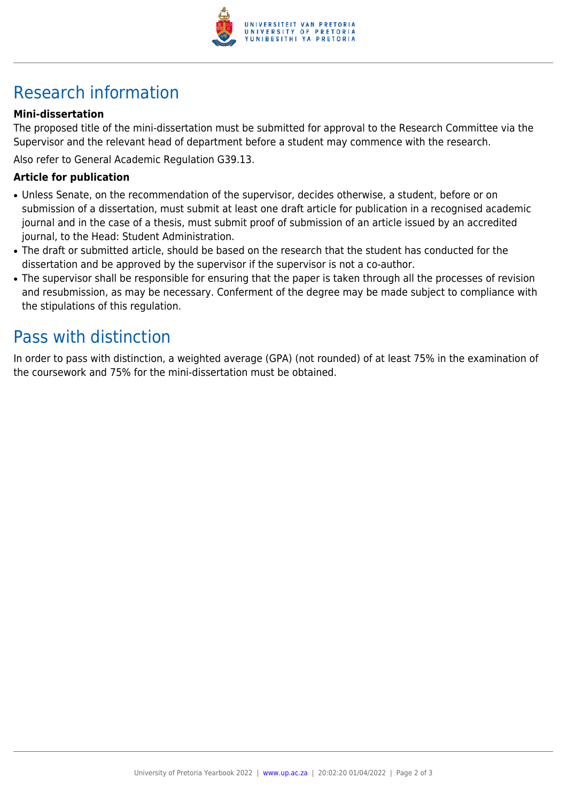

## Research information

#### **Mini-dissertation**

The proposed title of the mini-dissertation must be submitted for approval to the Research Committee via the Supervisor and the relevant head of department before a student may commence with the research.

Also refer to General Academic Regulation G39.13.

#### **Article for publication**

- Unless Senate, on the recommendation of the supervisor, decides otherwise, a student, before or on submission of a dissertation, must submit at least one draft article for publication in a recognised academic journal and in the case of a thesis, must submit proof of submission of an article issued by an accredited journal, to the Head: Student Administration.
- The draft or submitted article, should be based on the research that the student has conducted for the dissertation and be approved by the supervisor if the supervisor is not a co-author.
- The supervisor shall be responsible for ensuring that the paper is taken through all the processes of revision and resubmission, as may be necessary. Conferment of the degree may be made subject to compliance with the stipulations of this regulation.

### Pass with distinction

In order to pass with distinction, a weighted average (GPA) (not rounded) of at least 75% in the examination of the coursework and 75% for the mini-dissertation must be obtained.